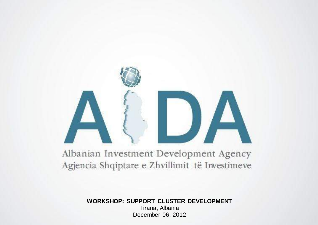#### Albanian Investment Development Agency Agjencia Shqiptare e Zhvillimit të Investimeve

**WORKSHOP: SUPPORT CLUSTER DEVELOPMENT** Tirana, Albania December 06, 2012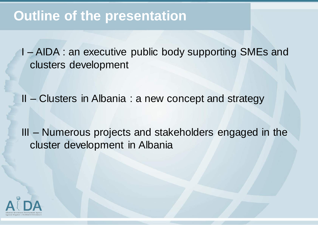I – AIDA : an executive public body supporting SMEs and clusters development

II – Clusters in Albania : a new concept and strategy

III – Numerous projects and stakeholders engaged in the cluster development in Albania

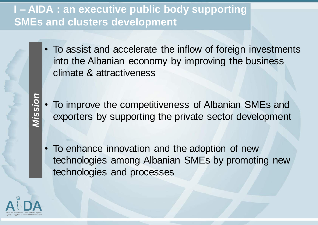### **I** – AIDA : an executive public body supporting **SMEs and clusters development**

- To assist and accelerate the inflow of foreign investments into the Albanian economy by improving the business climate & attractiveness
- To improve the competitiveness of Albanian SMEs and exporters by supporting the private sector development
- To enhance innovation and the adoption of new technologies among Albanian SMEs by promoting new technologies and processes



Mission *Mission*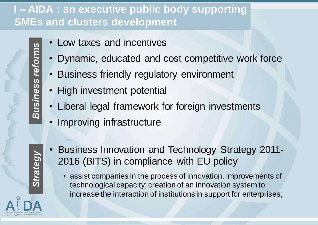### **I – AIDA : an executive public body supporting SMEs and clusters development**

- Low taxes and incentives
- Dynamic, educated and cost competitive work force
- Business friendly regulatory environment
- High investment potential
- Liberal legal framework for foreign investments
- Improving infrastructure
- Business Innovation and Technology Strategy 2011- 2016 (BITS) in compliance with EU policy

• assist companies in the process of innovation, improvements of technological capacity; creation of an innovation system to increase the interaction of institutions in support for enterprises;

**Business reforms** *Business reforms*

*Strategy*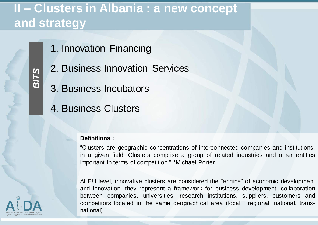- 1. Innovation Financing
- 2. Business Innovation Services
- 3. Business Incubators
- 4. Business Clusters

#### **Definitions :**

"Clusters are geographic concentrations of interconnected companies and institutions, in a given field. Clusters comprise a group of related industries and other entities important in terms of competition." \*Michael Porter

At EU level, innovative clusters are considered the "engine" of economic development and innovation, they represent a framework for business development, collaboration between companies, universities, research institutions, suppliers, customers and competitors located in the same geographical area (local , regional, national, transnational).



*BITS*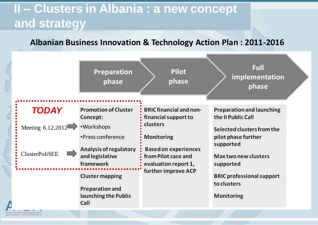#### **Albanian Business Innovation & Technology Action Plan : 2011-2016**

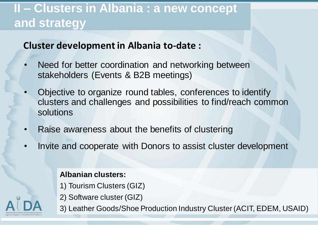#### **Cluster development in Albania to-date :**

- Need for better coordination and networking between stakeholders (Events & B2B meetings)
- Objective to organize round tables, conferences to identify clusters and challenges and possibilities to find/reach common solutions
- Raise awareness about the benefits of clustering
- Invite and cooperate with Donors to assist cluster development

#### **Albanian clusters:**

- 1) Tourism Clusters (GIZ)
- 2) Software cluster (GIZ)
- 3) Leather Goods/Shoe Production Industry Cluster(ACIT, EDEM, USAID)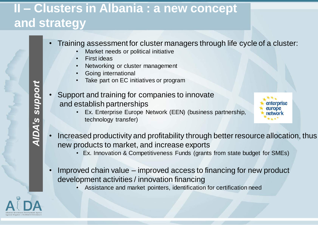• Training assessment for cluster managers through life cycle of a cluster:

- Market needs or political initiative
- **First ideas**
- Networking or cluster management
- Going international
- Take part on EC initiatives or program
- Support and training for companies to innovate and establish partnerships
	- Ex. Enterprise Europe Network (EEN) (business partnership, technology transfer)

enterorise

- Increased productivity and profitability through better resource allocation, thus new products to market, and increase exports
	- Ex. Innovation & Competitiveness Funds (grants from state budget for SMEs)
- Improved chain value improved access to financing for new product development activities / innovation financing
	- Assistance and market pointers, identification for certification need



*AIDA's support***AIDA's support**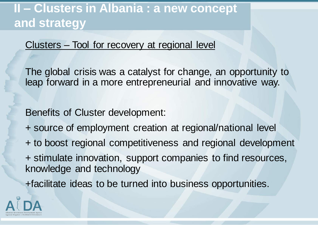#### Clusters – Tool for recovery at regional level

The global crisis was a catalyst for change, an opportunity to leap forward in a more entrepreneurial and innovative way.

Benefits of Cluster development:

- + source of employment creation at regional/national level
- + to boost regional competitiveness and regional development
- + stimulate innovation, support companies to find resources, knowledge and technology

+facilitate ideas to be turned into business opportunities.

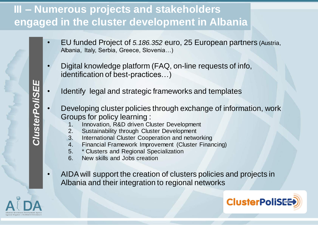### **III – Numerous projects and stakeholders engaged in the cluster development in Albania**

- EU funded Project of *5.186.352* euro, 25 European partners (Austria, Albania, Italy, Serbia, Greece, Slovenia…)
- Digital knowledge platform (FAQ, on-line requests of info, identification of best-practices…)
- Identify legal and strategic frameworks and templates
- Developing cluster policies through exchange of information, work Groups for policy learning :
	- 1. Innovation, R&D driven Cluster Development
	- 2. Sustainability through Cluster Development
	- 3. International Cluster Cooperation and networking
	- 4. Financial Framework Improvement (Cluster Financing)
	- 5. \* Clusters and Regional Specialization
	- 6. New skills and Jobs creation
- AIDA will support the creation of clusters policies and projects in Albania and their integration to regional networks





**ClusterPoliSEE** *ClusterPoliSEE*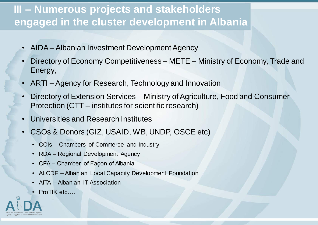### **III – Numerous projects and stakeholders engaged in the cluster development in Albania**

- AIDA Albanian Investment Development Agency
- Directory of Economy Competitiveness METE Ministry of Economy, Trade and Energy,
- ARTI Agency for Research, Technology and Innovation
- Directory of Extension Services Ministry of Agriculture, Food and Consumer Protection (CTT – institutes for scientific research)
- Universities and Research Institutes
- CSOs & Donors (GIZ, USAID, WB, UNDP, OSCE etc)
	- CCIs Chambers of Commerce and Industry
	- RDA Regional Development Agency
	- CFA Chamber of Façon of Albania
	- ALCDF Albanian Local Capacity Development Foundation
	- AITA Albanian IT Association
	- ProTIK etc....